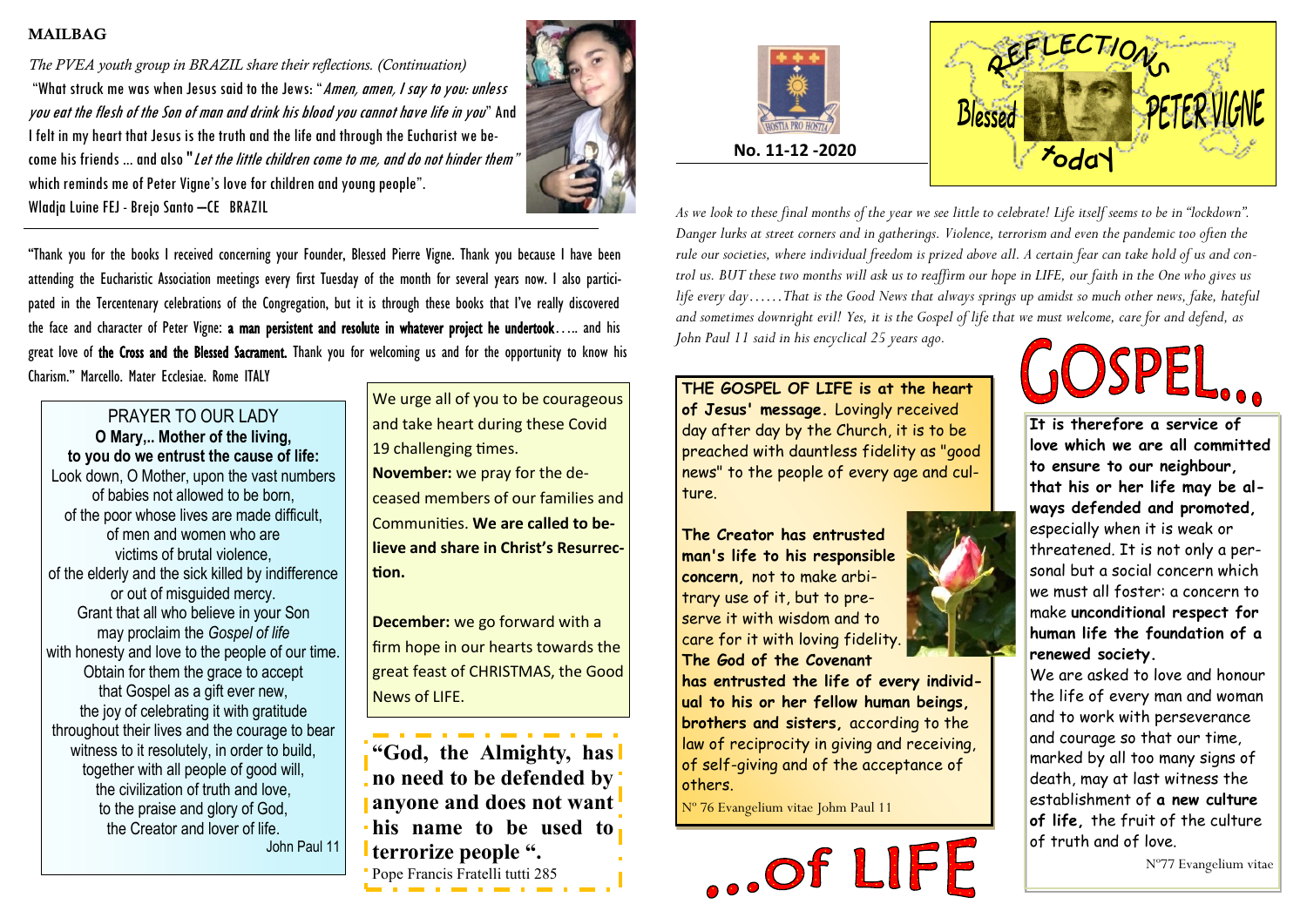### MAILBAG

*The PVEA youth group in BRAZIL share their reflections. (Continuation)* "What struck me was when Jesus said to the Jews: "Amen, amen, I say to you: unless you eat the flesh of the Son of man and drink his blood you cannot have life in you" And I felt in my heart that Jesus is the truth and the life and through the Eucharist we become his friends ... and also "Let the little children come to me, and do not hinder them" which reminds me of Peter Vigne's love for children and young people". Wladja Luine FEJ - Brejo Santo –CE BRAZIL



"Thank you for the books I received concerning your Founder, Blessed Pierre Vigne. Thank you because I have been attending the Eucharistic Association meetings every first Tuesday of the month for several years now. I also participated in the Tercentenary celebrations of the Congregation, but it is through these books that I've really discovered the face and character of Peter Vigne: a man persistent and resolute in whatever project he undertook….. and his great love of the Cross and the Blessed Sacrament. Thank you for welcoming us and for the opportunity to know his Charism." Marcello. Mater Ecclesiae. Rome ITALY

## PRAYER TO OUR LADY

**O Mary,.. Mother of the living, to you do we entrust the cause of life:** Look down, O Mother, upon the vast numbers of babies not allowed to be born, of the poor whose lives are made difficult, of men and women who are victims of brutal violence, of the elderly and the sick killed by indifference or out of misguided mercy. Grant that all who believe in your Son may proclaim the *Gospel of life* with honesty and love to the people of our time. Obtain for them the grace to accept that Gospel as a gift ever new, the joy of celebrating it with gratitude throughout their lives and the courage to bear witness to it resolutely, in order to build, together with all people of good will, the civilization of truth and love, to the praise and glory of God, the Creator and lover of life. John Paul 11

We urge all of you to be courageous and take heart during these Covid 19 challenging times. **November:** we pray for the deceased members of our families and Communities. **We are called to believe and share in Christ's Resurrection.**

**December:** we go forward with a firm hope in our hearts towards the great feast of CHRISTMAS, the Good News of LIFE.

**"God, the Almighty, has no need to be defended by anyone and does not want his name to be used to terrorize people ".** Pope Francis Fratelli tutti 285





*As we look to these final months of the year we see little to celebrate! Life itself seems to be in "lockdown". Danger lurks at street corners and in gatherings. Violence, terrorism and even the pandemic too often the rule our societies, where individual freedom is prized above all. A certain fear can take hold of us and control us. BUT these two months will ask us to reaffirm our hope in LIFE, our faith in the One who gives us life every day……That is the Good News that always springs up amidst so much other news, fake, hateful and sometimes downright evil! Yes, it is the Gospel of life that we must welcome, care for and defend, as John Paul 11 said in his encyclical 25 years ago.*

**THE GOSPEL OF LIFE is at the heart of Jesus' message.** Lovingly received day after day by the Church, it is to be preached with dauntless fidelity as "good news" to the people of every age and culture.

**The Creator has entrusted man's life to his responsible concern,** not to make arbitrary use of it, but to preserve it with wisdom and to care for it with loving fidelity. **The God of the Covenant has entrusted the life of every individual to his or her fellow human beings,**



Nº 76 Evangelium vitae Johm Paul 11



**It is therefore a service of love which we are all committed to ensure to our neighbour, that his or her life may be always defended and promoted,**  especially when it is weak or threatened. It is not only a personal but a social concern which we must all foster: a concern to make **unconditional respect for human life the foundation of a renewed society.**

We are asked to love and honour the life of every man and woman and to work with perseverance and courage so that our time, marked by all too many signs of death, may at last witness the establishment of **a new culture of life,** the fruit of the culture of truth and of love.

Nº77 Evangelium vitae